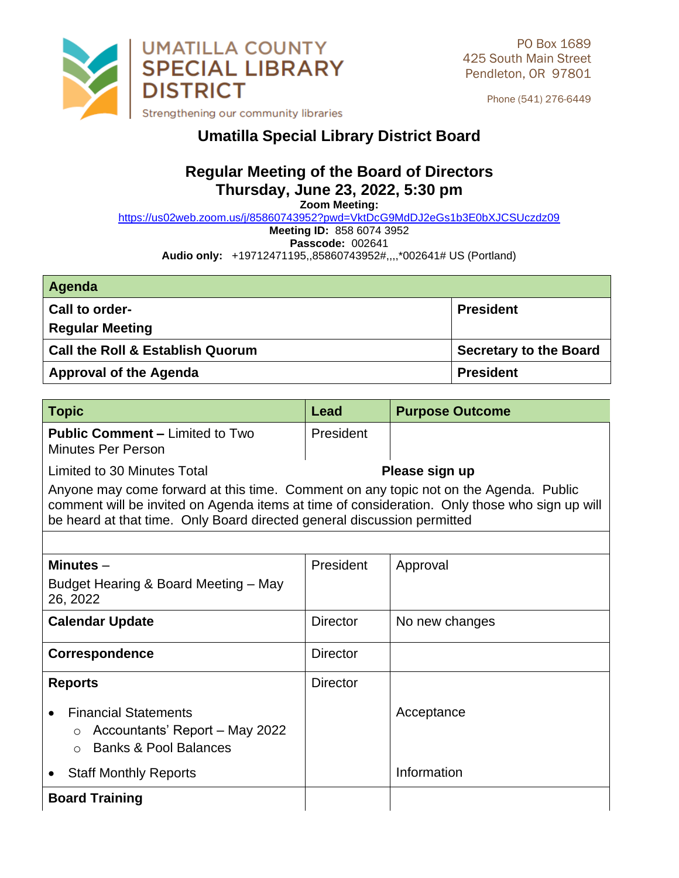

Phone (541) 276-6449

## **Umatilla Special Library District Board**

## **Regular Meeting of the Board of Directors Thursday, June 23, 2022, 5:30 pm**

**Zoom Meeting:** 

<https://us02web.zoom.us/j/85860743952?pwd=VktDcG9MdDJ2eGs1b3E0bXJCSUczdz09>

**Meeting ID:** 858 6074 3952

**Passcode:** 002641

**Audio only:** +19712471195,,85860743952#,,,,\*002641# US (Portland)

| Agenda                                      |                               |
|---------------------------------------------|-------------------------------|
| <b>Call to order-</b>                       | <b>President</b>              |
| <b>Regular Meeting</b>                      |                               |
| <b>Call the Roll &amp; Establish Quorum</b> | <b>Secretary to the Board</b> |
| <b>Approval of the Agenda</b>               | <b>President</b>              |

| <b>Topic</b>                                                                                                                                                                                                                                                     | Lead            | <b>Purpose Outcome</b> |  |  |
|------------------------------------------------------------------------------------------------------------------------------------------------------------------------------------------------------------------------------------------------------------------|-----------------|------------------------|--|--|
| <b>Public Comment – Limited to Two</b><br>Minutes Per Person                                                                                                                                                                                                     | President       |                        |  |  |
| Limited to 30 Minutes Total                                                                                                                                                                                                                                      |                 | Please sign up         |  |  |
| Anyone may come forward at this time. Comment on any topic not on the Agenda. Public<br>comment will be invited on Agenda items at time of consideration. Only those who sign up will<br>be heard at that time. Only Board directed general discussion permitted |                 |                        |  |  |
|                                                                                                                                                                                                                                                                  |                 |                        |  |  |
| Minutes $-$                                                                                                                                                                                                                                                      | President       | Approval               |  |  |
| Budget Hearing & Board Meeting – May<br>26, 2022                                                                                                                                                                                                                 |                 |                        |  |  |
| <b>Calendar Update</b>                                                                                                                                                                                                                                           | <b>Director</b> | No new changes         |  |  |
| <b>Correspondence</b>                                                                                                                                                                                                                                            | <b>Director</b> |                        |  |  |
| <b>Reports</b>                                                                                                                                                                                                                                                   | <b>Director</b> |                        |  |  |
| <b>Financial Statements</b><br>Accountants' Report - May 2022<br>$\circ$<br><b>Banks &amp; Pool Balances</b><br>$\bigcap$                                                                                                                                        |                 | Acceptance             |  |  |
| <b>Staff Monthly Reports</b>                                                                                                                                                                                                                                     |                 | Information            |  |  |
| <b>Board Training</b>                                                                                                                                                                                                                                            |                 |                        |  |  |